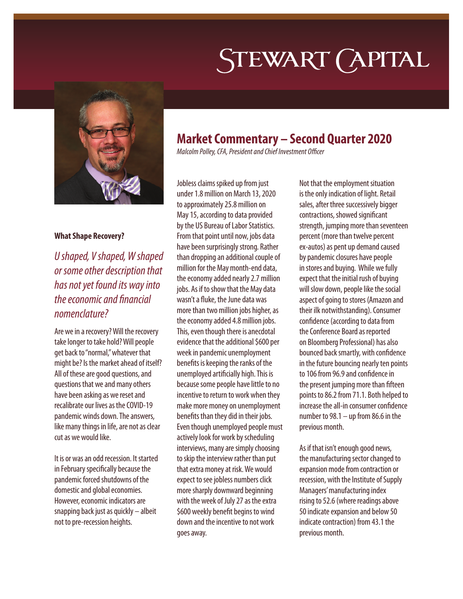# STEWART (APITAL



#### **What Shape Recovery?**

*U shaped, V shaped, W shaped or some other description that has not yet found its way into the economic and financial nomenclature?* 

Are we in a recovery? Will the recovery take longer to take hold? Will people get back to "normal," whatever that might be? Is the market ahead of itself? All of these are good questions, and questions that we and many others have been asking as we reset and recalibrate our lives as the COVID-19 pandemic winds down. The answers, like many things in life, are not as clear cut as we would like.

It is or was an odd recession. It started in February specifically because the pandemic forced shutdowns of the domestic and global economies. However, economic indicators are snapping back just as quickly – albeit not to pre-recession heights.

## **Market Commentary – Second Quarter 2020**

*Malcolm Polley, CFA, President and Chief Investment Officer*

Jobless claims spiked up from just under 1.8 million on March 13, 2020 to approximately 25.8 million on May 15, according to data provided by the US Bureau of Labor Statistics. From that point until now, jobs data have been surprisingly strong. Rather than dropping an additional couple of million for the May month-end data, the economy added nearly 2.7 million jobs. As if to show that the May data wasn't a fluke, the June data was more than two million jobs higher, as the economy added 4.8 million jobs. This, even though there is anecdotal evidence that the additional \$600 per week in pandemic unemployment benefits is keeping the ranks of the unemployed artificially high. This is because some people have little to no incentive to return to work when they make more money on unemployment benefits than they did in their jobs. Even though unemployed people must actively look for work by scheduling interviews, many are simply choosing to skip the interview rather than put that extra money at risk. We would expect to see jobless numbers click more sharply downward beginning with the week of July 27 as the extra \$600 weekly benefit begins to wind down and the incentive to not work goes away.

Not that the employment situation is the only indication of light. Retail sales, after three successively bigger contractions, showed significant strength, jumping more than seventeen percent (more than twelve percent ex-autos) as pent up demand caused by pandemic closures have people in stores and buying. While we fully expect that the initial rush of buying will slow down, people like the social aspect of going to stores (Amazon and their ilk notwithstanding). Consumer confidence (according to data from the Conference Board as reported on Bloomberg Professional) has also bounced back smartly, with confidence in the future bouncing nearly ten points to 106 from 96.9 and confidence in the present jumping more than fifteen points to 86.2 from 71.1. Both helped to increase the all-in consumer confidence number to 98.1 – up from 86.6 in the previous month.

As if that isn't enough good news, the manufacturing sector changed to expansion mode from contraction or recession, with the Institute of Supply Managers' manufacturing index rising to 52.6 (where readings above 50 indicate expansion and below 50 indicate contraction) from 43.1 the previous month.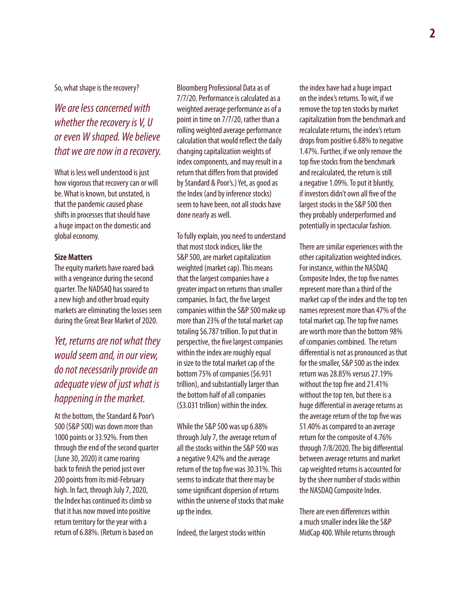So, what shape is the recovery?

*We are less concerned with whether the recovery is V, U or even W shaped. We believe that we are now in a recovery.* 

What is less well understood is just how vigorous that recovery can or will be. What is known, but unstated, is that the pandemic caused phase shifts in processes that should have a huge impact on the domestic and global economy.

#### **Size Matters**

The equity markets have roared back with a vengeance during the second quarter. The NADSAQ has soared to a new high and other broad equity markets are eliminating the losses seen during the Great Bear Market of 2020.

*Yet, returns are not what they would seem and, in our view, do not necessarily provide an adequate view of just what is happening in the market.*

At the bottom, the Standard & Poor's 500 (S&P 500) was down more than 1000 points or 33.92%. From then through the end of the second quarter (June 30, 2020) it came roaring back to finish the period just over 200 points from its mid-February high. In fact, through July 7, 2020, the Index has continued its climb so that it has now moved into positive return territory for the year with a return of 6.88%. (Return is based on

Bloomberg Professional Data as of 7/7/20. Performance is calculated as a weighted average performance as of a point in time on 7/7/20, rather than a rolling weighted average performance calculation that would reflect the daily changing capitalization weights of index components, and may result in a return that differs from that provided by Standard & Poor's.) Yet, as good as the Index (and by inference stocks) seem to have been, not all stocks have done nearly as well.

To fully explain, you need to understand that most stock indices, like the S&P 500, are market capitalization weighted (market cap). This means that the largest companies have a greater impact on returns than smaller companies. In fact, the five largest companies within the S&P 500 make up more than 23% of the total market cap totaling \$6.787 trillion. To put that in perspective, the five largest companies within the index are roughly equal in size to the total market cap of the bottom 75% of companies (\$6.931 trillion), and substantially larger than the bottom half of all companies (\$3.031 trillion) within the index.

While the S&P 500 was up 6.88% through July 7, the average return of all the stocks within the S&P 500 was a negative 9.42% and the average return of the top five was 30.31%. This seems to indicate that there may be some significant dispersion of returns within the universe of stocks that make up the index.

Indeed, the largest stocks within

the index have had a huge impact on the index's returns. To wit, if we remove the top ten stocks by market capitalization from the benchmark and recalculate returns, the index's return drops from positive 6.88% to negative 1.47%. Further, if we only remove the top five stocks from the benchmark and recalculated, the return is still a negative 1.09%. To put it bluntly, if investors didn't own all five of the largest stocks in the S&P 500 then they probably underperformed and potentially in spectacular fashion.

There are similar experiences with the other capitalization weighted indices. For instance, within the NASDAQ Composite Index, the top five names represent more than a third of the market cap of the index and the top ten names represent more than 47% of the total market cap. The top five names are worth more than the bottom 98% of companies combined. The return differential is not as pronounced as that for the smaller, S&P 500 as the index return was 28.85% versus 27.19% without the top five and 21.41% without the top ten, but there is a huge differential in average returns as the average return of the top five was 51.40% as compared to an average return for the composite of 4.76% through 7/8/2020. The big differential between average returns and market cap weighted returns is accounted for by the sheer number of stocks within the NASDAQ Composite Index.

There are even differences within a much smaller index like the S&P MidCap 400. While returns through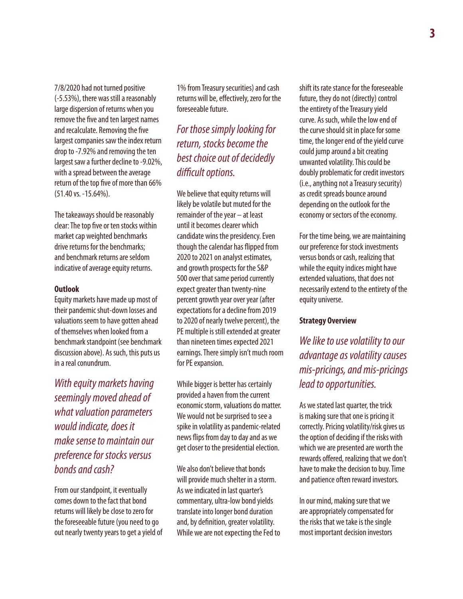7/8/2020 had not turned positive (-5.53%), there was still a reasonably large dispersion of returns when you remove the five and ten largest names and recalculate. Removing the five largest companies saw the index return drop to -7.92% and removing the ten largest saw a further decline to -9.02%, with a spread between the average return of the top five of more than 66% (51.40 vs. -15.64%).

The takeaways should be reasonably clear: The top five or ten stocks within market cap weighted benchmarks drive returns for the benchmarks; and benchmark returns are seldom indicative of average equity returns.

#### **Outlook**

Equity markets have made up most of their pandemic shut-down losses and valuations seem to have gotten ahead of themselves when looked from a benchmark standpoint (see benchmark discussion above). As such, this puts us in a real conundrum.

*With equity markets having seemingly moved ahead of what valuation parameters would indicate, does it make sense to maintain our preference for stocks versus bonds and cash?*

From our standpoint, it eventually comes down to the fact that bond returns will likely be close to zero for the foreseeable future (you need to go out nearly twenty years to get a yield of

1% from Treasury securities) and cash returns will be, effectively, zero for the foreseeable future.

*For those simply looking for return, stocks become the best choice out of decidedly difficult options.*

We believe that equity returns will likely be volatile but muted for the remainder of the year – at least until it becomes clearer which candidate wins the presidency. Even though the calendar has flipped from 2020 to 2021 on analyst estimates, and growth prospects for the S&P 500 over that same period currently expect greater than twenty-nine percent growth year over year (after expectations for a decline from 2019 to 2020 of nearly twelve percent), the PE multiple is still extended at greater than nineteen times expected 2021 earnings. There simply isn't much room for PE expansion.

While bigger is better has certainly provided a haven from the current economic storm, valuations do matter. We would not be surprised to see a spike in volatility as pandemic-related news flips from day to day and as we get closer to the presidential election.

We also don't believe that bonds will provide much shelter in a storm. As we indicated in last quarter's commentary, ultra-low bond yields translate into longer bond duration and, by definition, greater volatility. While we are not expecting the Fed to shift its rate stance for the foreseeable future, they do not (directly) control the entirety of the Treasury yield curve. As such, while the low end of the curve should sit in place for some time, the longer end of the yield curve could jump around a bit creating unwanted volatility. This could be doubly problematic for credit investors (i.e., anything not a Treasury security) as credit spreads bounce around depending on the outlook for the economy or sectors of the economy.

For the time being, we are maintaining our preference for stock investments versus bonds or cash, realizing that while the equity indices might have extended valuations, that does not necessarily extend to the entirety of the equity universe.

### **Strategy Overview**

*We like to use volatility to our advantage as volatility causes mis-pricings, and mis-pricings lead to opportunities.* 

As we stated last quarter, the trick is making sure that one is pricing it correctly. Pricing volatility/risk gives us the option of deciding if the risks with which we are presented are worth the rewards offered, realizing that we don't have to make the decision to buy. Time and patience often reward investors.

In our mind, making sure that we are appropriately compensated for the risks that we take is the single most important decision investors